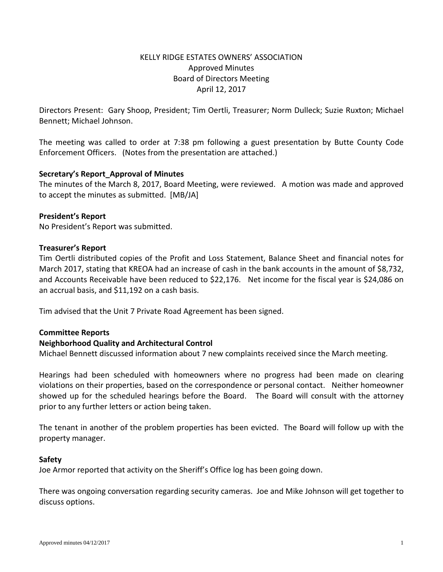# KELLY RIDGE ESTATES OWNERS' ASSOCIATION Approved Minutes Board of Directors Meeting April 12, 2017

Directors Present: Gary Shoop, President; Tim Oertli, Treasurer; Norm Dulleck; Suzie Ruxton; Michael Bennett; Michael Johnson.

The meeting was called to order at 7:38 pm following a guest presentation by Butte County Code Enforcement Officers. (Notes from the presentation are attached.)

## **Secretary's Report\_Approval of Minutes**

The minutes of the March 8, 2017, Board Meeting, were reviewed. A motion was made and approved to accept the minutes as submitted. [MB/JA]

## **President's Report**

No President's Report was submitted.

### **Treasurer's Report**

Tim Oertli distributed copies of the Profit and Loss Statement, Balance Sheet and financial notes for March 2017, stating that KREOA had an increase of cash in the bank accounts in the amount of \$8,732, and Accounts Receivable have been reduced to \$22,176. Net income for the fiscal year is \$24,086 on an accrual basis, and \$11,192 on a cash basis.

Tim advised that the Unit 7 Private Road Agreement has been signed.

## **Committee Reports**

## **Neighborhood Quality and Architectural Control**

Michael Bennett discussed information about 7 new complaints received since the March meeting.

Hearings had been scheduled with homeowners where no progress had been made on clearing violations on their properties, based on the correspondence or personal contact. Neither homeowner showed up for the scheduled hearings before the Board. The Board will consult with the attorney prior to any further letters or action being taken.

The tenant in another of the problem properties has been evicted. The Board will follow up with the property manager.

#### **Safety**

Joe Armor reported that activity on the Sheriff's Office log has been going down.

There was ongoing conversation regarding security cameras. Joe and Mike Johnson will get together to discuss options.